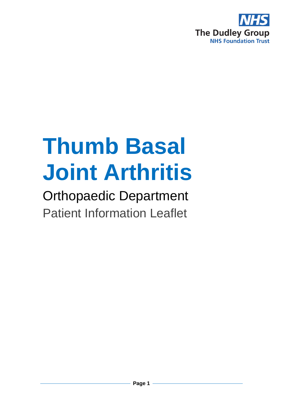

# **Thumb Basal Joint Arthritis**

Orthopaedic Department Patient Information Leaflet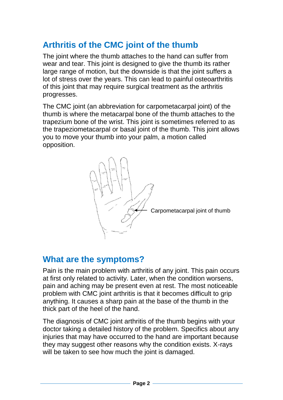# **Arthritis of the CMC joint of the thumb**

The joint where the thumb attaches to the hand can suffer from wear and tear. This joint is designed to give the thumb its rather large range of motion, but the downside is that the joint suffers a lot of stress over the years. This can lead to painful osteoarthritis of this joint that may require surgical treatment as the arthritis progresses.

The CMC joint (an abbreviation for carpometacarpal joint) of the thumb is where the metacarpal bone of the thumb attaches to the trapezium bone of the wrist. This joint is sometimes referred to as the trapeziometacarpal or basal joint of the thumb. This joint allows you to move your thumb into your palm, a motion called opposition.



#### **What are the symptoms?**

Pain is the main problem with arthritis of any joint. This pain occurs at first only related to activity. Later, when the condition worsens, pain and aching may be present even at rest. The most noticeable problem with CMC joint arthritis is that it becomes difficult to grip anything. It causes a sharp pain at the base of the thumb in the thick part of the heel of the hand.

The diagnosis of CMC joint arthritis of the thumb begins with your doctor taking a detailed history of the problem. Specifics about any injuries that may have occurred to the hand are important because they may suggest other reasons why the condition exists. X-rays will be taken to see how much the joint is damaged.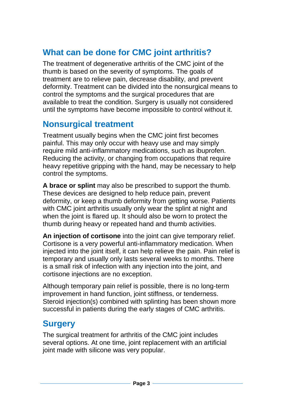# **What can be done for CMC joint arthritis?**

The treatment of degenerative arthritis of the CMC joint of the thumb is based on the severity of symptoms. The goals of treatment are to relieve pain, decrease disability, and prevent deformity. Treatment can be divided into the nonsurgical means to control the symptoms and the surgical procedures that are available to treat the condition. Surgery is usually not considered until the symptoms have become impossible to control without it.

#### **Nonsurgical treatment**

Treatment usually begins when the CMC joint first becomes painful. This may only occur with heavy use and may simply require mild anti-inflammatory medications, such as ibuprofen. Reducing the activity, or changing from occupations that require heavy repetitive gripping with the hand, may be necessary to help control the symptoms.

**A brace or splint** may also be prescribed to support the thumb. These devices are designed to help reduce pain, prevent deformity, or keep a thumb deformity from getting worse. Patients with CMC joint arthritis usually only wear the splint at night and when the joint is flared up. It should also be worn to protect the thumb during heavy or repeated hand and thumb activities.

**An injection of cortisone** into the joint can give temporary relief. Cortisone is a very powerful anti-inflammatory medication. When injected into the joint itself, it can help relieve the pain. Pain relief is temporary and usually only lasts several weeks to months. There is a small risk of infection with any injection into the joint, and cortisone injections are no exception.

Although temporary pain relief is possible, there is no long-term improvement in hand function, joint stiffness, or tenderness. Steroid injection(s) combined with splinting has been shown more successful in patients during the early stages of CMC arthritis.

#### **Surgery**

The surgical treatment for arthritis of the CMC joint includes several options. At one time, joint replacement with an artificial joint made with silicone was very popular.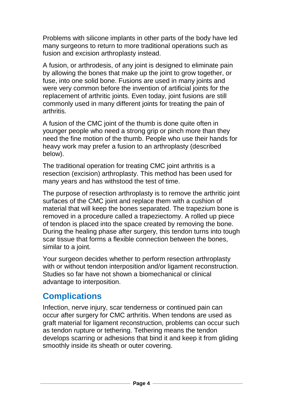Problems with silicone implants in other parts of the body have led many surgeons to return to more traditional operations such as fusion and excision arthroplasty instead.

A fusion, or arthrodesis, of any joint is designed to eliminate pain by allowing the bones that make up the joint to grow together, or fuse, into one solid bone. Fusions are used in many joints and were very common before the invention of artificial joints for the replacement of arthritic joints. Even today, joint fusions are still commonly used in many different joints for treating the pain of arthritis.

A fusion of the CMC joint of the thumb is done quite often in younger people who need a strong grip or pinch more than they need the fine motion of the thumb. People who use their hands for heavy work may prefer a fusion to an arthroplasty (described below).

The traditional operation for treating CMC joint arthritis is a resection (excision) arthroplasty. This method has been used for many years and has withstood the test of time.

The purpose of resection arthroplasty is to remove the arthritic joint surfaces of the CMC joint and replace them with a cushion of material that will keep the bones separated. The trapezium bone is removed in a procedure called a trapeziectomy. A rolled up piece of tendon is placed into the space created by removing the bone. During the healing phase after surgery, this tendon turns into tough scar tissue that forms a flexible connection between the bones, similar to a joint.

Your surgeon decides whether to perform resection arthroplasty with or without tendon interposition and/or ligament reconstruction. Studies so far have not shown a biomechanical or clinical advantage to interposition.

## **Complications**

Infection, nerve injury, scar tenderness or continued pain can occur after surgery for CMC arthritis. When tendons are used as graft material for ligament reconstruction, problems can occur such as tendon rupture or tethering. Tethering means the tendon develops scarring or adhesions that bind it and keep it from gliding smoothly inside its sheath or outer covering.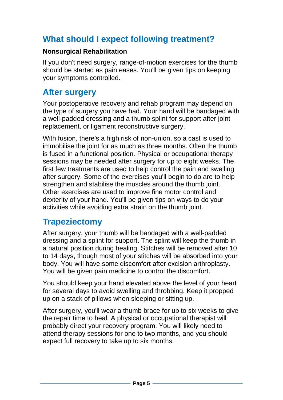# **What should I expect following treatment?**

#### **Nonsurgical Rehabilitation**

If you don't need surgery, range-of-motion exercises for the thumb should be started as pain eases. You'll be given tips on keeping your symptoms controlled.

#### **After surgery**

Your postoperative recovery and rehab program may depend on the type of surgery you have had. Your hand will be bandaged with a well-padded dressing and a thumb splint for support after joint replacement, or ligament reconstructive surgery.

With fusion, there's a high risk of non-union, so a cast is used to immobilise the joint for as much as three months. Often the thumb is fused in a functional position. Physical or occupational therapy sessions may be needed after surgery for up to eight weeks. The first few treatments are used to help control the pain and swelling after surgery. Some of the exercises you'll begin to do are to help strengthen and stabilise the muscles around the thumb joint. Other exercises are used to improve fine motor control and dexterity of your hand. You'll be given tips on ways to do your activities while avoiding extra strain on the thumb joint.

## **Trapeziectomy**

After surgery, your thumb will be bandaged with a well-padded dressing and a splint for support. The splint will keep the thumb in a natural position during healing. Stitches will be removed after 10 to 14 days, though most of your stitches will be absorbed into your body. You will have some discomfort after excision arthroplasty. You will be given pain medicine to control the discomfort.

You should keep your hand elevated above the level of your heart for several days to avoid swelling and throbbing. Keep it propped up on a stack of pillows when sleeping or sitting up.

After surgery, you'll wear a thumb brace for up to six weeks to give the repair time to heal. A physical or occupational therapist will probably direct your recovery program. You will likely need to attend therapy sessions for one to two months, and you should expect full recovery to take up to six months.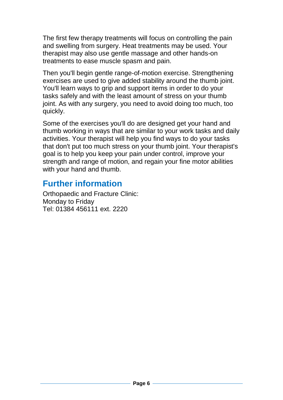The first few therapy treatments will focus on controlling the pain and swelling from surgery. Heat treatments may be used. Your therapist may also use gentle massage and other hands-on treatments to ease muscle spasm and pain.

Then you'll begin gentle range-of-motion exercise. Strengthening exercises are used to give added stability around the thumb joint. You'll learn ways to grip and support items in order to do your tasks safely and with the least amount of stress on your thumb joint. As with any surgery, you need to avoid doing too much, too quickly.

Some of the exercises you'll do are designed get your hand and thumb working in ways that are similar to your work tasks and daily activities. Your therapist will help you find ways to do your tasks that don't put too much stress on your thumb joint. Your therapist's goal is to help you keep your pain under control, improve your strength and range of motion, and regain your fine motor abilities with your hand and thumb.

## **Further information**

Orthopaedic and Fracture Clinic: Monday to Friday Tel: 01384 456111 ext. 2220